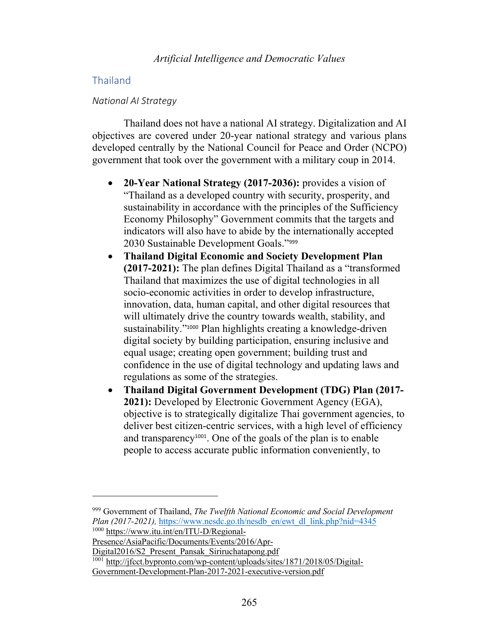# Thailand

# *National AI Strategy*

Thailand does not have a national AI strategy. Digitalization and AI objectives are covered under 20-year national strategy and various plans developed centrally by the National Council for Peace and Order (NCPO) government that took over the government with a military coup in 2014.

- **20-Year National Strategy (2017-2036):** provides a vision of "Thailand as a developed country with security, prosperity, and sustainability in accordance with the principles of the Sufficiency Economy Philosophy" Government commits that the targets and indicators will also have to abide by the internationally accepted 2030 Sustainable Development Goals."<sup>999</sup>
- **Thailand Digital Economic and Society Development Plan (2017-2021):** The plan defines Digital Thailand as a "transformed Thailand that maximizes the use of digital technologies in all socio-economic activities in order to develop infrastructure, innovation, data, human capital, and other digital resources that will ultimately drive the country towards wealth, stability, and sustainability."<sup>1000</sup> Plan highlights creating a knowledge-driven digital society by building participation, ensuring inclusive and equal usage; creating open government; building trust and confidence in the use of digital technology and updating laws and regulations as some of the strategies.
- **Thailand Digital Government Development (TDG) Plan (2017- 2021):** Developed by Electronic Government Agency (EGA), objective is to strategically digitalize Thai government agencies, to deliver best citizen-centric services, with a high level of efficiency and transparency1001. One of the goals of the plan is to enable people to access accurate public information conveniently, to

Digital2016/S2\_Present\_Pansak\_Siriruchatapong.pdf

<sup>1001</sup> http://jfcct.bypronto.com/wp-content/uploads/sites/1871/2018/05/Digital-Government-Development-Plan-2017-2021-executive-version.pdf

<sup>999</sup> Government of Thailand, *The Twelfth National Economic and Social Development Plan (2017-2021), https://www.nesdc.go.th/nesdb\_en/ewt\_dl\_link.php?nid=4345* <sup>1000</sup> https://www.itu.int/en/ITU-D/Regional-

Presence/AsiaPacific/Documents/Events/2016/Apr-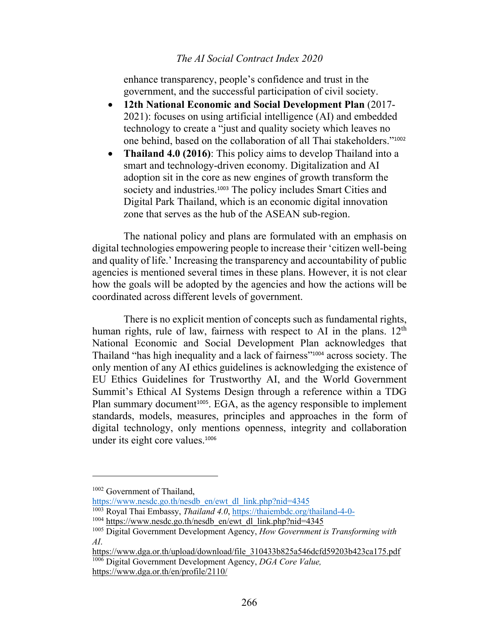# *The AI Social Contract Index 2020*

enhance transparency, people's confidence and trust in the government, and the successful participation of civil society.

- **12th National Economic and Social Development Plan** (2017- 2021): focuses on using artificial intelligence (AI) and embedded technology to create a "just and quality society which leaves no one behind, based on the collaboration of all Thai stakeholders."<sup>1002</sup>
- **Thailand 4.0 (2016)**: This policy aims to develop Thailand into a smart and technology-driven economy. Digitalization and AI adoption sit in the core as new engines of growth transform the society and industries.<sup>1003</sup> The policy includes Smart Cities and Digital Park Thailand, which is an economic digital innovation zone that serves as the hub of the ASEAN sub-region.

The national policy and plans are formulated with an emphasis on digital technologies empowering people to increase their 'citizen well-being and quality of life.' Increasing the transparency and accountability of public agencies is mentioned several times in these plans. However, it is not clear how the goals will be adopted by the agencies and how the actions will be coordinated across different levels of government.

There is no explicit mention of concepts such as fundamental rights, human rights, rule of law, fairness with respect to AI in the plans.  $12<sup>th</sup>$ National Economic and Social Development Plan acknowledges that Thailand "has high inequality and a lack of fairness"<sup>1004</sup> across society. The only mention of any AI ethics guidelines is acknowledging the existence of EU Ethics Guidelines for Trustworthy AI, and the World Government Summit's Ethical AI Systems Design through a reference within a TDG Plan summary document<sup>1005</sup>. EGA, as the agency responsible to implement standards, models, measures, principles and approaches in the form of digital technology, only mentions openness, integrity and collaboration under its eight core values.<sup>1006</sup>

https://www.nesdc.go.th/nesdb\_en/ewt\_dl\_link.php?nid=4345

<sup>1003</sup> Royal Thai Embassy, *Thailand 4.0*, https://thaiembdc.org/thailand-4-0-

<sup>1002</sup> Government of Thailand,

<sup>&</sup>lt;sup>1004</sup> https://www.nesdc.go.th/nesdb\_en/ewt\_dl\_link.php?nid=4345

<sup>1005</sup> Digital Government Development Agency, *How Government is Transforming with AI*.

https://www.dga.or.th/upload/download/file\_310433b825a546dcfd59203b423ca175.pdf <sup>1006</sup> Digital Government Development Agency, *DGA Core Value,*  https://www.dga.or.th/en/profile/2110/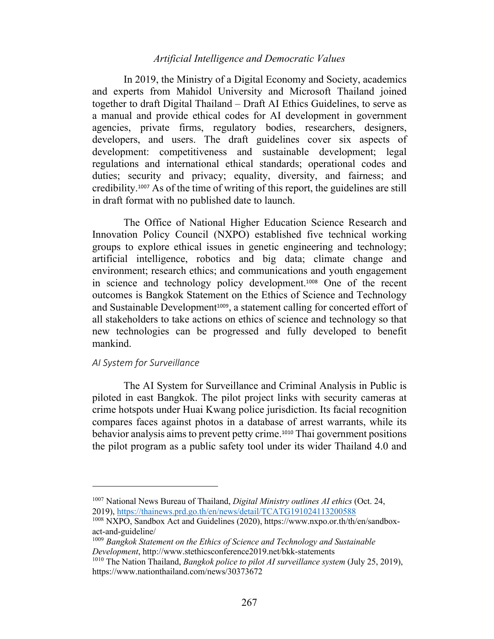# *Artificial Intelligence and Democratic Values*

In 2019, the Ministry of a Digital Economy and Society, academics and experts from Mahidol University and Microsoft Thailand joined together to draft Digital Thailand – Draft AI Ethics Guidelines, to serve as a manual and provide ethical codes for AI development in government agencies, private firms, regulatory bodies, researchers, designers, developers, and users. The draft guidelines cover six aspects of development: competitiveness and sustainable development; legal regulations and international ethical standards; operational codes and duties; security and privacy; equality, diversity, and fairness; and credibility.<sup>1007</sup> As of the time of writing of this report, the guidelines are still in draft format with no published date to launch.

The Office of National Higher Education Science Research and Innovation Policy Council (NXPO) established five technical working groups to explore ethical issues in genetic engineering and technology; artificial intelligence, robotics and big data; climate change and environment; research ethics; and communications and youth engagement in science and technology policy development.<sup>1008</sup> One of the recent outcomes is Bangkok Statement on the Ethics of Science and Technology and Sustainable Development<sup>1009</sup>, a statement calling for concerted effort of all stakeholders to take actions on ethics of science and technology so that new technologies can be progressed and fully developed to benefit mankind.

#### *AI System for Surveillance*

The AI System for Surveillance and Criminal Analysis in Public is piloted in east Bangkok. The pilot project links with security cameras at crime hotspots under Huai Kwang police jurisdiction. Its facial recognition compares faces against photos in a database of arrest warrants, while its behavior analysis aims to prevent petty crime.<sup>1010</sup> Thai government positions the pilot program as a public safety tool under its wider Thailand 4.0 and

<sup>1007</sup> National News Bureau of Thailand, *Digital Ministry outlines AI ethics* (Oct. 24, 2019), https://thainews.prd.go.th/en/news/detail/TCATG191024113200588

<sup>1008</sup> NXPO, Sandbox Act and Guidelines (2020), https://www.nxpo.or.th/th/en/sandboxact-and-guideline/

<sup>1009</sup> *Bangkok Statement on the Ethics of Science and Technology and Sustainable Development*, http://www.stethicsconference2019.net/bkk-statements

<sup>1010</sup> The Nation Thailand, *Bangkok police to pilot AI surveillance system* (July 25, 2019), https://www.nationthailand.com/news/30373672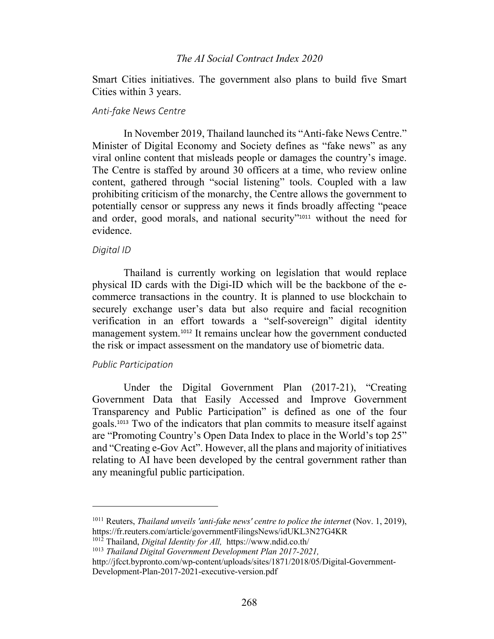## *The AI Social Contract Index 2020*

Smart Cities initiatives. The government also plans to build five Smart Cities within 3 years.

#### *Anti-fake News Centre*

In November 2019, Thailand launched its "Anti-fake News Centre." Minister of Digital Economy and Society defines as "fake news" as any viral online content that misleads people or damages the country's image. The Centre is staffed by around 30 officers at a time, who review online content, gathered through "social listening" tools. Coupled with a law prohibiting criticism of the monarchy, the Centre allows the government to potentially censor or suppress any news it finds broadly affecting "peace and order, good morals, and national security"<sup>1011</sup> without the need for evidence.

#### *Digital ID*

Thailand is currently working on legislation that would replace physical ID cards with the Digi-ID which will be the backbone of the ecommerce transactions in the country. It is planned to use blockchain to securely exchange user's data but also require and facial recognition verification in an effort towards a "self-sovereign" digital identity management system.<sup>1012</sup> It remains unclear how the government conducted the risk or impact assessment on the mandatory use of biometric data.

### *Public Participation*

Under the Digital Government Plan (2017-21), "Creating Government Data that Easily Accessed and Improve Government Transparency and Public Participation" is defined as one of the four goals.<sup>1013</sup> Two of the indicators that plan commits to measure itself against are "Promoting Country's Open Data Index to place in the World's top 25" and "Creating e-Gov Act". However, all the plans and majority of initiatives relating to AI have been developed by the central government rather than any meaningful public participation.

<sup>1012</sup> Thailand, *Digital Identity for All,* https://www.ndid.co.th/

<sup>1011</sup> Reuters, *Thailand unveils 'anti-fake news' centre to police the internet* (Nov. 1, 2019), https://fr.reuters.com/article/governmentFilingsNews/idUKL3N27G4KR

<sup>1013</sup> *Thailand Digital Government Development Plan 2017-2021,* 

http://jfcct.bypronto.com/wp-content/uploads/sites/1871/2018/05/Digital-Government-Development-Plan-2017-2021-executive-version.pdf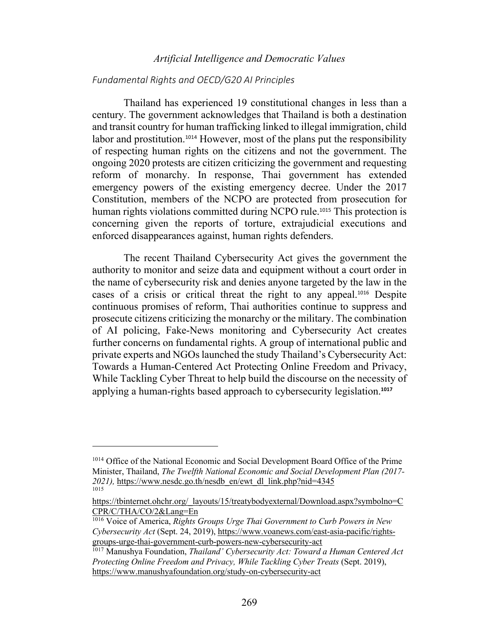# *Artificial Intelligence and Democratic Values*

### *Fundamental Rights and OECD/G20 AI Principles*

Thailand has experienced 19 constitutional changes in less than a century. The government acknowledges that Thailand is both a destination and transit country for human trafficking linked to illegal immigration, child labor and prostitution.<sup>1014</sup> However, most of the plans put the responsibility of respecting human rights on the citizens and not the government. The ongoing 2020 protests are citizen criticizing the government and requesting reform of monarchy. In response, Thai government has extended emergency powers of the existing emergency decree. Under the 2017 Constitution, members of the NCPO are protected from prosecution for human rights violations committed during NCPO rule.<sup>1015</sup> This protection is concerning given the reports of torture, extrajudicial executions and enforced disappearances against, human rights defenders.

The recent Thailand Cybersecurity Act gives the government the authority to monitor and seize data and equipment without a court order in the name of cybersecurity risk and denies anyone targeted by the law in the cases of a crisis or critical threat the right to any appeal.<sup>1016</sup> Despite continuous promises of reform, Thai authorities continue to suppress and prosecute citizens criticizing the monarchy or the military. The combination of AI policing, Fake-News monitoring and Cybersecurity Act creates further concerns on fundamental rights. A group of international public and private experts and NGOs launched the study Thailand's Cybersecurity Act: Towards a Human-Centered Act Protecting Online Freedom and Privacy, While Tackling Cyber Threat to help build the discourse on the necessity of applying a human-rights based approach to cybersecurity legislation.**<sup>1017</sup>**

<sup>1014</sup> Office of the National Economic and Social Development Board Office of the Prime Minister, Thailand, *The Twelfth National Economic and Social Development Plan (2017- 2021),* https://www.nesdc.go.th/nesdb\_en/ewt\_dl\_link.php?nid=4345 1015

https://tbinternet.ohchr.org/\_layouts/15/treatybodyexternal/Download.aspx?symbolno=C CPR/C/THA/CO/2&Lang=En

<sup>1016</sup> Voice of America, *Rights Groups Urge Thai Government to Curb Powers in New Cybersecurity Act* (Sept. 24, 2019), https://www.voanews.com/east-asia-pacific/rightsgroups-urge-thai-government-curb-powers-new-cybersecurity-act

<sup>1017</sup> Manushya Foundation, *Thailand' Cybersecurity Act: Toward a Human Centered Act Protecting Online Freedom and Privacy, While Tackling Cyber Treats* (Sept. 2019), https://www.manushyafoundation.org/study-on-cybersecurity-act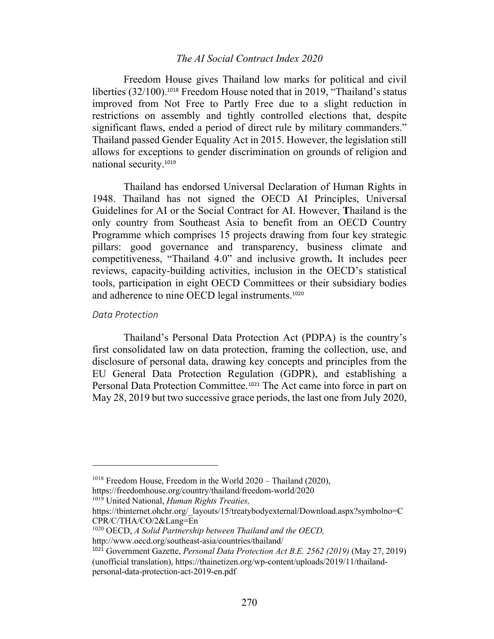## *The AI Social Contract Index 2020*

Freedom House gives Thailand low marks for political and civil liberties (32/100). <sup>1018</sup> Freedom House noted that in 2019, "Thailand's status improved from Not Free to Partly Free due to a slight reduction in restrictions on assembly and tightly controlled elections that, despite significant flaws, ended a period of direct rule by military commanders." Thailand passed Gender Equality Act in 2015. However, the legislation still allows for exceptions to gender discrimination on grounds of religion and national security.<sup>1019</sup>

Thailand has endorsed Universal Declaration of Human Rights in 1948. Thailand has not signed the OECD AI Principles, Universal Guidelines for AI or the Social Contract for AI. However, **T**hailand is the only country from Southeast Asia to benefit from an OECD Country Programme which comprises 15 projects drawing from four key strategic pillars: good governance and transparency, business climate and competitiveness, "Thailand 4.0" and inclusive growth**.** It includes peer reviews, capacity-building activities, inclusion in the OECD's statistical tools, participation in eight OECD Committees or their subsidiary bodies and adherence to nine OECD legal instruments.<sup>1020</sup>

#### *Data Protection*

Thailand's Personal Data Protection Act (PDPA) is the country's first consolidated law on data protection, framing the collection, use, and disclosure of personal data, drawing key concepts and principles from the EU General Data Protection Regulation (GDPR), and establishing a Personal Data Protection Committee.<sup>1021</sup> The Act came into force in part on May 28, 2019 but two successive grace periods, the last one from July 2020,

<sup>1018</sup> Freedom House, Freedom in the World 2020 – Thailand (2020),

https://freedomhouse.org/country/thailand/freedom-world/2020

<sup>1019</sup> United National, *Human Rights Treaties,*

https://tbinternet.ohchr.org/\_layouts/15/treatybodyexternal/Download.aspx?symbolno=C CPR/C/THA/CO/2&Lang=En

<sup>1020</sup> OECD, *A Solid Partnership between Thailand and the OECD,*

http://www.oecd.org/southeast-asia/countries/thailand/

<sup>1021</sup> Government Gazette, *Personal Data Protection Act B.E. 2562 (2019)* (May 27, 2019) (unofficial translation), https://thainetizen.org/wp-content/uploads/2019/11/thailandpersonal-data-protection-act-2019-en.pdf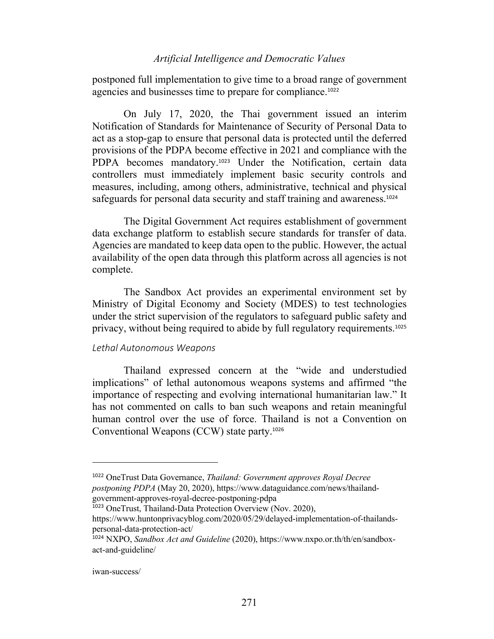### *Artificial Intelligence and Democratic Values*

postponed full implementation to give time to a broad range of government agencies and businesses time to prepare for compliance.<sup>1022</sup>

On July 17, 2020, the Thai government issued an interim Notification of Standards for Maintenance of Security of Personal Data to act as a stop-gap to ensure that personal data is protected until the deferred provisions of the PDPA become effective in 2021 and compliance with the PDPA becomes mandatory.<sup>1023</sup> Under the Notification, certain data controllers must immediately implement basic security controls and measures, including, among others, administrative, technical and physical safeguards for personal data security and staff training and awareness.<sup>1024</sup>

The Digital Government Act requires establishment of government data exchange platform to establish secure standards for transfer of data. Agencies are mandated to keep data open to the public. However, the actual availability of the open data through this platform across all agencies is not complete.

The Sandbox Act provides an experimental environment set by Ministry of Digital Economy and Society (MDES) to test technologies under the strict supervision of the regulators to safeguard public safety and privacy, without being required to abide by full regulatory requirements.<sup>1025</sup>

### *Lethal Autonomous Weapons*

Thailand expressed concern at the "wide and understudied implications" of lethal autonomous weapons systems and affirmed "the importance of respecting and evolving international humanitarian law." It has not commented on calls to ban such weapons and retain meaningful human control over the use of force. Thailand is not a Convention on Conventional Weapons (CCW) state party.<sup>1026</sup>

#### iwan-success/

<sup>1022</sup> OneTrust Data Governance, *Thailand: Government approves Royal Decree postponing PDPA* (May 20, 2020), https://www.dataguidance.com/news/thailandgovernment-approves-royal-decree-postponing-pdpa

<sup>1023</sup> OneTrust, Thailand-Data Protection Overview (Nov. 2020),

https://www.huntonprivacyblog.com/2020/05/29/delayed-implementation-of-thailandspersonal-data-protection-act/

<sup>1024</sup> NXPO, *Sandbox Act and Guideline* (2020), https://www.nxpo.or.th/th/en/sandboxact-and-guideline/